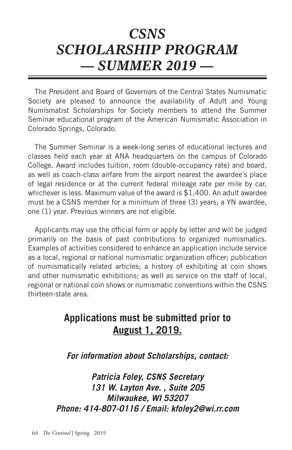## *CSNS SCHOLARSHIP PROGRAM — SUMMER 2019 —*

The President and Board of Governors of the Central States Numismatic Society are pleased to announce the availability of Adult and Young Numismatist Scholarships for Society members to attend the Summer Seminar educational program of the American Numismatic Association in Colorado Springs, Colorado.

The Summer Seminar is a week-long series of educational lectures and classes held each year at ANA headquarters on the campus of Colorado College. Award includes tuition, room (double-occupancy rate) and board, as well as coach-class airfare from the airport nearest the awardee's place of legal residence or at the current federal mileage rate per mile by car, whichever is less. Maximum value of the award is \$1,400. An adult awardee must be a CSNS member for a minimum of three (3) years; a YN awardee, one (1) year. Previous winners are not eligible.

Applicants may use the official form or apply by letter and will be judged primarily on the basis of past contributions to organized numismatics. Examples of activities considered to enhance an application include service as a local, regional or national numismatic organization officer; publication of numismatically related articles; a history of exhibiting at coin shows and other numismatic exhibitions; as well as service on the staff of local, regional or national coin shows or numismatic conventions within the CSNS thirteen-state area.

## **Applications must be submitted prior to August 1, 2019.**

*For information about Scholarships, contact:*

*Patricia Foley, CSNS Secretary 131 W. Layton Ave. , Suite 205 Milwaukee, WI 53207 Phone: 414-807-0116 / Email: kfoley2@wi.rr.com*